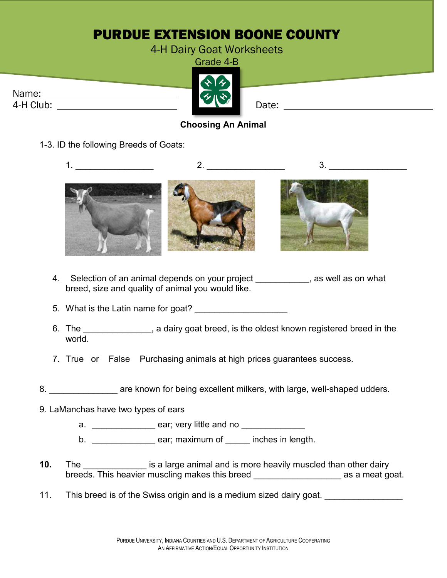# PURDUE EXTENSION BOONE COUNTY

#### 4-H Dairy Goat Worksheets

Grade 4-B

| Name:     |  |
|-----------|--|
| 4-H Club: |  |



### **Choosing An Animal**

1-3. ID the following Breeds of Goats:



- 4. Selection of an animal depends on your project \_\_\_\_\_\_\_\_\_, as well as on what breed, size and quality of animal you would like.
- 5. What is the Latin name for goat?
- 6. The state of a state of a dairy goat breed, is the oldest known registered breed in the world.
- 7. True or False Purchasing animals at high prices guarantees success.
- 8. **Example 3** are known for being excellent milkers, with large, well-shaped udders.
- 9. LaManchas have two types of ears
	- a. \_\_\_\_\_\_\_\_\_\_\_\_\_ ear; very little and no \_\_\_\_\_\_\_\_\_\_\_\_\_
	- b. \_\_\_\_\_\_\_\_\_\_\_\_\_\_\_\_\_ ear; maximum of \_\_\_\_\_ inches in length.
- **10.** The **the is a large animal and is more heavily muscled than other dairy** breeds. This heavier muscling makes this breed **the assume as a meat goat.**
- 11. This breed is of the Swiss origin and is a medium sized dairy goat.